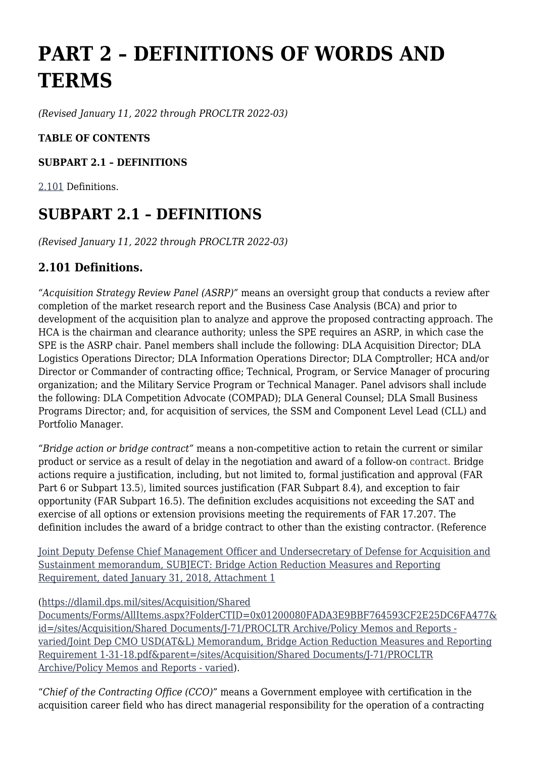# **PART 2 – DEFINITIONS OF WORDS AND TERMS**

*(Revised January 11, 2022 through PROCLTR 2022-03)*

### **TABLE OF CONTENTS**

### **SUBPART 2.1 – DEFINITIONS**

[2.101](https://www.acquisition.gov/%5Brp:link:dlad-part-2%5D#P2_101) Definitions.

## **SUBPART 2.1 – DEFINITIONS**

*(Revised January 11, 2022 through PROCLTR 2022-03)*

### **2.101 Definitions.**

*"Acquisition Strategy Review Panel (ASRP)"* means an oversight group that conducts a review after completion of the market research report and the Business Case Analysis (BCA) and prior to development of the acquisition plan to analyze and approve the proposed contracting approach. The HCA is the chairman and clearance authority; unless the SPE requires an ASRP, in which case the SPE is the ASRP chair. Panel members shall include the following: DLA Acquisition Director; DLA Logistics Operations Director; DLA Information Operations Director; DLA Comptroller; HCA and/or Director or Commander of contracting office; Technical, Program, or Service Manager of procuring organization; and the Military Service Program or Technical Manager. Panel advisors shall include the following: DLA Competition Advocate (COMPAD); DLA General Counsel; DLA Small Business Programs Director; and, for acquisition of services, the SSM and Component Level Lead (CLL) and Portfolio Manager.

*"Bridge action or bridge contract"* means a non-competitive action to retain the current or similar product or service as a result of delay in the negotiation and award of a follow-on contract. Bridge actions require a justification, including, but not limited to, formal justification and approval (FAR Part 6 or Subpart 13.5), limited sources justification (FAR Subpart 8.4), and exception to fair opportunity (FAR Subpart 16.5). The definition excludes acquisitions not exceeding the SAT and exercise of all options or extension provisions meeting the requirements of FAR 17.207. The definition includes the award of a bridge contract to other than the existing contractor. (Reference

[Joint Deputy Defense Chief Management Officer and Undersecretary of Defense for Acquisition and](https://dlamil.dps.mil/sites/Acquisition/Shared%20Documents/Forms/AllItems.aspx?FolderCTID=0x01200080FADA3E9BBF764593CF2E25DC6FA477&id=/sites/Acquisition/Shared%20Documents/J-71/PROCLTR%20Archive/Policy%20Memos%20and%20Reports%20-%20varied/Joint%20Dep%20CMO%20USD(AT&L)%20Memorandum,%20Bridge%20Action%20Reduction%20Measures%20and%20Reporting%20Requirement%201-31-18.pdf&parent=/sites/Acquisition/Shared%20Documents/J-71/PROCLTR%20Archive/Policy%20Memos%20and%20Reports%20-%20varied) [Sustainment memorandum, SUBJECT: Bridge Action Reduction Measures and Reporting](https://dlamil.dps.mil/sites/Acquisition/Shared%20Documents/Forms/AllItems.aspx?FolderCTID=0x01200080FADA3E9BBF764593CF2E25DC6FA477&id=/sites/Acquisition/Shared%20Documents/J-71/PROCLTR%20Archive/Policy%20Memos%20and%20Reports%20-%20varied/Joint%20Dep%20CMO%20USD(AT&L)%20Memorandum,%20Bridge%20Action%20Reduction%20Measures%20and%20Reporting%20Requirement%201-31-18.pdf&parent=/sites/Acquisition/Shared%20Documents/J-71/PROCLTR%20Archive/Policy%20Memos%20and%20Reports%20-%20varied) [Requirement, dated January 31, 2018, Attachment 1](https://dlamil.dps.mil/sites/Acquisition/Shared%20Documents/Forms/AllItems.aspx?FolderCTID=0x01200080FADA3E9BBF764593CF2E25DC6FA477&id=/sites/Acquisition/Shared%20Documents/J-71/PROCLTR%20Archive/Policy%20Memos%20and%20Reports%20-%20varied/Joint%20Dep%20CMO%20USD(AT&L)%20Memorandum,%20Bridge%20Action%20Reduction%20Measures%20and%20Reporting%20Requirement%201-31-18.pdf&parent=/sites/Acquisition/Shared%20Documents/J-71/PROCLTR%20Archive/Policy%20Memos%20and%20Reports%20-%20varied)

#### [\(https://dlamil.dps.mil/sites/Acquisition/Shared](https://dlamil.dps.mil/sites/Acquisition/Shared%20Documents/Forms/AllItems.aspx?FolderCTID=0x01200080FADA3E9BBF764593CF2E25DC6FA477&id=/sites/Acquisition/Shared%20Documents/J-71/PROCLTR%20Archive/Policy%20Memos%20and%20Reports%20-%20varied/Joint%20Dep%20CMO%20USD(AT&L)%20Memorandum,%20Bridge%20Action%20Reduction%20Measures%20and%20Reporting%20Requirement%201-31-18.pdf&parent=/sites/Acquisition/Shared%20Documents/J-71/PROCLTR%20Archive/Policy%20Memos%20and%20Reports%20-%20varied)

[Documents/Forms/AllItems.aspx?FolderCTID=0x01200080FADA3E9BBF764593CF2E25DC6FA477&](https://dlamil.dps.mil/sites/Acquisition/Shared%20Documents/Forms/AllItems.aspx?FolderCTID=0x01200080FADA3E9BBF764593CF2E25DC6FA477&id=/sites/Acquisition/Shared%20Documents/J-71/PROCLTR%20Archive/Policy%20Memos%20and%20Reports%20-%20varied/Joint%20Dep%20CMO%20USD(AT&L)%20Memorandum,%20Bridge%20Action%20Reduction%20Measures%20and%20Reporting%20Requirement%201-31-18.pdf&parent=/sites/Acquisition/Shared%20Documents/J-71/PROCLTR%20Archive/Policy%20Memos%20and%20Reports%20-%20varied) [id=/sites/Acquisition/Shared Documents/J-71/PROCLTR Archive/Policy Memos and Reports](https://dlamil.dps.mil/sites/Acquisition/Shared%20Documents/Forms/AllItems.aspx?FolderCTID=0x01200080FADA3E9BBF764593CF2E25DC6FA477&id=/sites/Acquisition/Shared%20Documents/J-71/PROCLTR%20Archive/Policy%20Memos%20and%20Reports%20-%20varied/Joint%20Dep%20CMO%20USD(AT&L)%20Memorandum,%20Bridge%20Action%20Reduction%20Measures%20and%20Reporting%20Requirement%201-31-18.pdf&parent=/sites/Acquisition/Shared%20Documents/J-71/PROCLTR%20Archive/Policy%20Memos%20and%20Reports%20-%20varied)  [varied/Joint Dep CMO USD\(AT&L\) Memorandum, Bridge Action Reduction Measures and Reporting](https://dlamil.dps.mil/sites/Acquisition/Shared%20Documents/Forms/AllItems.aspx?FolderCTID=0x01200080FADA3E9BBF764593CF2E25DC6FA477&id=/sites/Acquisition/Shared%20Documents/J-71/PROCLTR%20Archive/Policy%20Memos%20and%20Reports%20-%20varied/Joint%20Dep%20CMO%20USD(AT&L)%20Memorandum,%20Bridge%20Action%20Reduction%20Measures%20and%20Reporting%20Requirement%201-31-18.pdf&parent=/sites/Acquisition/Shared%20Documents/J-71/PROCLTR%20Archive/Policy%20Memos%20and%20Reports%20-%20varied) [Requirement 1-31-18.pdf&parent=/sites/Acquisition/Shared Documents/J-71/PROCLTR](https://dlamil.dps.mil/sites/Acquisition/Shared%20Documents/Forms/AllItems.aspx?FolderCTID=0x01200080FADA3E9BBF764593CF2E25DC6FA477&id=/sites/Acquisition/Shared%20Documents/J-71/PROCLTR%20Archive/Policy%20Memos%20and%20Reports%20-%20varied/Joint%20Dep%20CMO%20USD(AT&L)%20Memorandum,%20Bridge%20Action%20Reduction%20Measures%20and%20Reporting%20Requirement%201-31-18.pdf&parent=/sites/Acquisition/Shared%20Documents/J-71/PROCLTR%20Archive/Policy%20Memos%20and%20Reports%20-%20varied) [Archive/Policy Memos and Reports - varied](https://dlamil.dps.mil/sites/Acquisition/Shared%20Documents/Forms/AllItems.aspx?FolderCTID=0x01200080FADA3E9BBF764593CF2E25DC6FA477&id=/sites/Acquisition/Shared%20Documents/J-71/PROCLTR%20Archive/Policy%20Memos%20and%20Reports%20-%20varied/Joint%20Dep%20CMO%20USD(AT&L)%20Memorandum,%20Bridge%20Action%20Reduction%20Measures%20and%20Reporting%20Requirement%201-31-18.pdf&parent=/sites/Acquisition/Shared%20Documents/J-71/PROCLTR%20Archive/Policy%20Memos%20and%20Reports%20-%20varied)).

"*Chief of the Contracting Office (CCO)*" means a Government employee with certification in the acquisition career field who has direct managerial responsibility for the operation of a contracting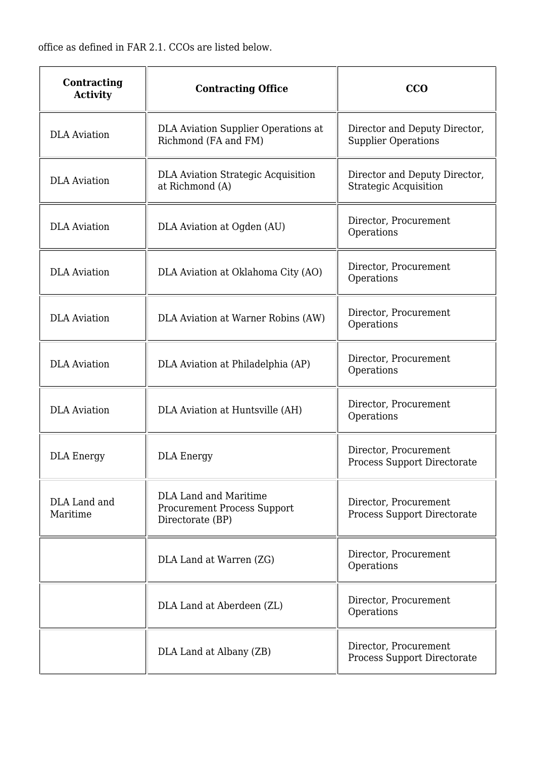office as defined in FAR 2.1. CCOs are listed below.

| Contracting<br><b>Activity</b> | <b>Contracting Office</b>                                                              | CCO                                                           |
|--------------------------------|----------------------------------------------------------------------------------------|---------------------------------------------------------------|
| <b>DLA</b> Aviation            | DLA Aviation Supplier Operations at<br>Richmond (FA and FM)                            | Director and Deputy Director,<br><b>Supplier Operations</b>   |
| <b>DLA</b> Aviation            | <b>DLA Aviation Strategic Acquisition</b><br>at Richmond (A)                           | Director and Deputy Director,<br><b>Strategic Acquisition</b> |
| <b>DLA</b> Aviation            | DLA Aviation at Ogden (AU)                                                             | Director, Procurement<br>Operations                           |
| <b>DLA</b> Aviation            | DLA Aviation at Oklahoma City (AO)                                                     | Director, Procurement<br>Operations                           |
| <b>DLA</b> Aviation            | DLA Aviation at Warner Robins (AW)                                                     | Director, Procurement<br>Operations                           |
| <b>DLA</b> Aviation            | DLA Aviation at Philadelphia (AP)                                                      | Director, Procurement<br>Operations                           |
| <b>DLA</b> Aviation            | DLA Aviation at Huntsville (AH)                                                        | Director, Procurement<br>Operations                           |
| <b>DLA Energy</b>              | <b>DLA Energy</b>                                                                      | Director, Procurement<br>Process Support Directorate          |
| DLA Land and<br>Maritime       | <b>DLA Land and Maritime</b><br><b>Procurement Process Support</b><br>Directorate (BP) | Director, Procurement<br>Process Support Directorate          |
|                                | DLA Land at Warren (ZG)                                                                | Director, Procurement<br>Operations                           |
|                                | DLA Land at Aberdeen (ZL)                                                              | Director, Procurement<br>Operations                           |
|                                | DLA Land at Albany (ZB)                                                                | Director, Procurement<br>Process Support Directorate          |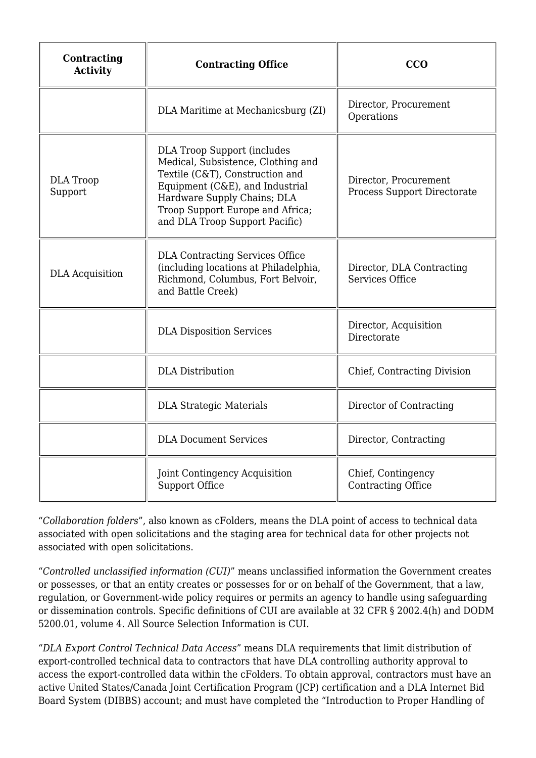| Contracting<br><b>Activity</b> | <b>Contracting Office</b>                                                                                                                                                                                                                           | CCO                                                  |
|--------------------------------|-----------------------------------------------------------------------------------------------------------------------------------------------------------------------------------------------------------------------------------------------------|------------------------------------------------------|
|                                | DLA Maritime at Mechanicsburg (ZI)                                                                                                                                                                                                                  | Director, Procurement<br>Operations                  |
| <b>DLA</b> Troop<br>Support    | <b>DLA Troop Support (includes</b><br>Medical, Subsistence, Clothing and<br>Textile (C&T), Construction and<br>Equipment (C&E), and Industrial<br>Hardware Supply Chains; DLA<br>Troop Support Europe and Africa;<br>and DLA Troop Support Pacific) | Director, Procurement<br>Process Support Directorate |
| <b>DLA</b> Acquisition         | <b>DLA Contracting Services Office</b><br>(including locations at Philadelphia,<br>Richmond, Columbus, Fort Belvoir,<br>and Battle Creek)                                                                                                           | Director, DLA Contracting<br>Services Office         |
|                                | <b>DLA Disposition Services</b>                                                                                                                                                                                                                     | Director, Acquisition<br>Directorate                 |
|                                | <b>DLA</b> Distribution                                                                                                                                                                                                                             | Chief, Contracting Division                          |
|                                | <b>DLA Strategic Materials</b>                                                                                                                                                                                                                      | Director of Contracting                              |
|                                | <b>DLA Document Services</b>                                                                                                                                                                                                                        | Director, Contracting                                |
|                                | <b>Joint Contingency Acquisition</b><br>Support Office                                                                                                                                                                                              | Chief, Contingency<br>Contracting Office             |

"*Collaboration folders*", also known as cFolders, means the DLA point of access to technical data associated with open solicitations and the staging area for technical data for other projects not associated with open solicitations.

"*Controlled unclassified information (CUI)*" means unclassified information the Government creates or possesses, or that an entity creates or possesses for or on behalf of the Government, that a law, regulation, or Government-wide policy requires or permits an agency to handle using safeguarding or dissemination controls. Specific definitions of CUI are available at 32 CFR § 2002.4(h) and DODM 5200.01, volume 4. All Source Selection Information is CUI.

"*DLA Export Control Technical Data Access*" means DLA requirements that limit distribution of export-controlled technical data to contractors that have DLA controlling authority approval to access the export-controlled data within the cFolders. To obtain approval, contractors must have an active United States/Canada Joint Certification Program (JCP) certification and a DLA Internet Bid Board System (DIBBS) account; and must have completed the "Introduction to Proper Handling of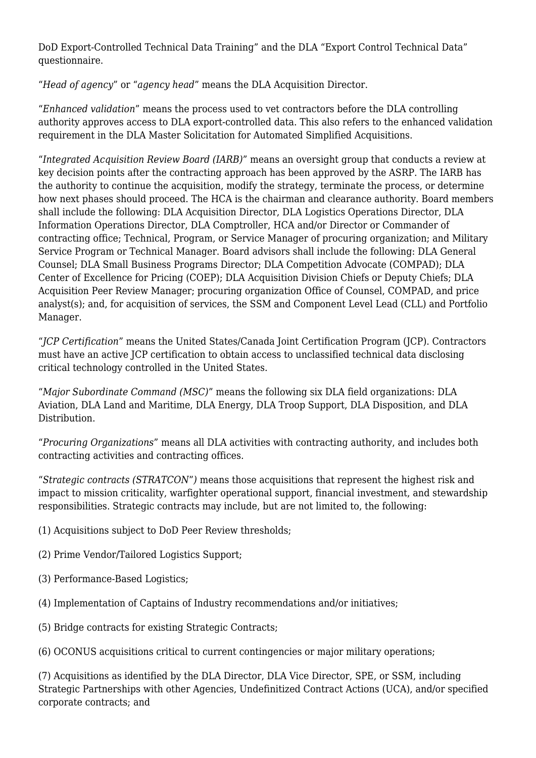DoD Export-Controlled Technical Data Training" and the DLA "Export Control Technical Data" questionnaire.

"*Head of agency*" or "*agency head*" means the DLA Acquisition Director.

"*Enhanced validation*" means the process used to vet contractors before the DLA controlling authority approves access to DLA export-controlled data. This also refers to the enhanced validation requirement in the DLA Master Solicitation for Automated Simplified Acquisitions.

"*Integrated Acquisition Review Board (IARB)*" means an oversight group that conducts a review at key decision points after the contracting approach has been approved by the ASRP. The IARB has the authority to continue the acquisition, modify the strategy, terminate the process, or determine how next phases should proceed. The HCA is the chairman and clearance authority. Board members shall include the following: DLA Acquisition Director, DLA Logistics Operations Director, DLA Information Operations Director, DLA Comptroller, HCA and/or Director or Commander of contracting office; Technical, Program, or Service Manager of procuring organization; and Military Service Program or Technical Manager. Board advisors shall include the following: DLA General Counsel; DLA Small Business Programs Director; DLA Competition Advocate (COMPAD); DLA Center of Excellence for Pricing (COEP); DLA Acquisition Division Chiefs or Deputy Chiefs; DLA Acquisition Peer Review Manager; procuring organization Office of Counsel, COMPAD, and price analyst(s); and, for acquisition of services, the SSM and Component Level Lead (CLL) and Portfolio Manager.

"*JCP Certification*" means the United States/Canada Joint Certification Program (JCP). Contractors must have an active JCP certification to obtain access to unclassified technical data disclosing critical technology controlled in the United States.

"*Major Subordinate Command (MSC)*" means the following six DLA field organizations: DLA Aviation, DLA Land and Maritime, DLA Energy, DLA Troop Support, DLA Disposition, and DLA Distribution.

"*Procuring Organizations*" means all DLA activities with contracting authority, and includes both contracting activities and contracting offices.

"*Strategic contracts (STRATCON*"*)* means those acquisitions that represent the highest risk and impact to mission criticality, warfighter operational support, financial investment, and stewardship responsibilities. Strategic contracts may include, but are not limited to, the following:

- (1) Acquisitions subject to DoD Peer Review thresholds;
- (2) Prime Vendor/Tailored Logistics Support;
- (3) Performance-Based Logistics;
- (4) Implementation of Captains of Industry recommendations and/or initiatives;
- (5) Bridge contracts for existing Strategic Contracts;
- (6) OCONUS acquisitions critical to current contingencies or major military operations;

(7) Acquisitions as identified by the DLA Director, DLA Vice Director, SPE, or SSM, including Strategic Partnerships with other Agencies, Undefinitized Contract Actions (UCA), and/or specified corporate contracts; and